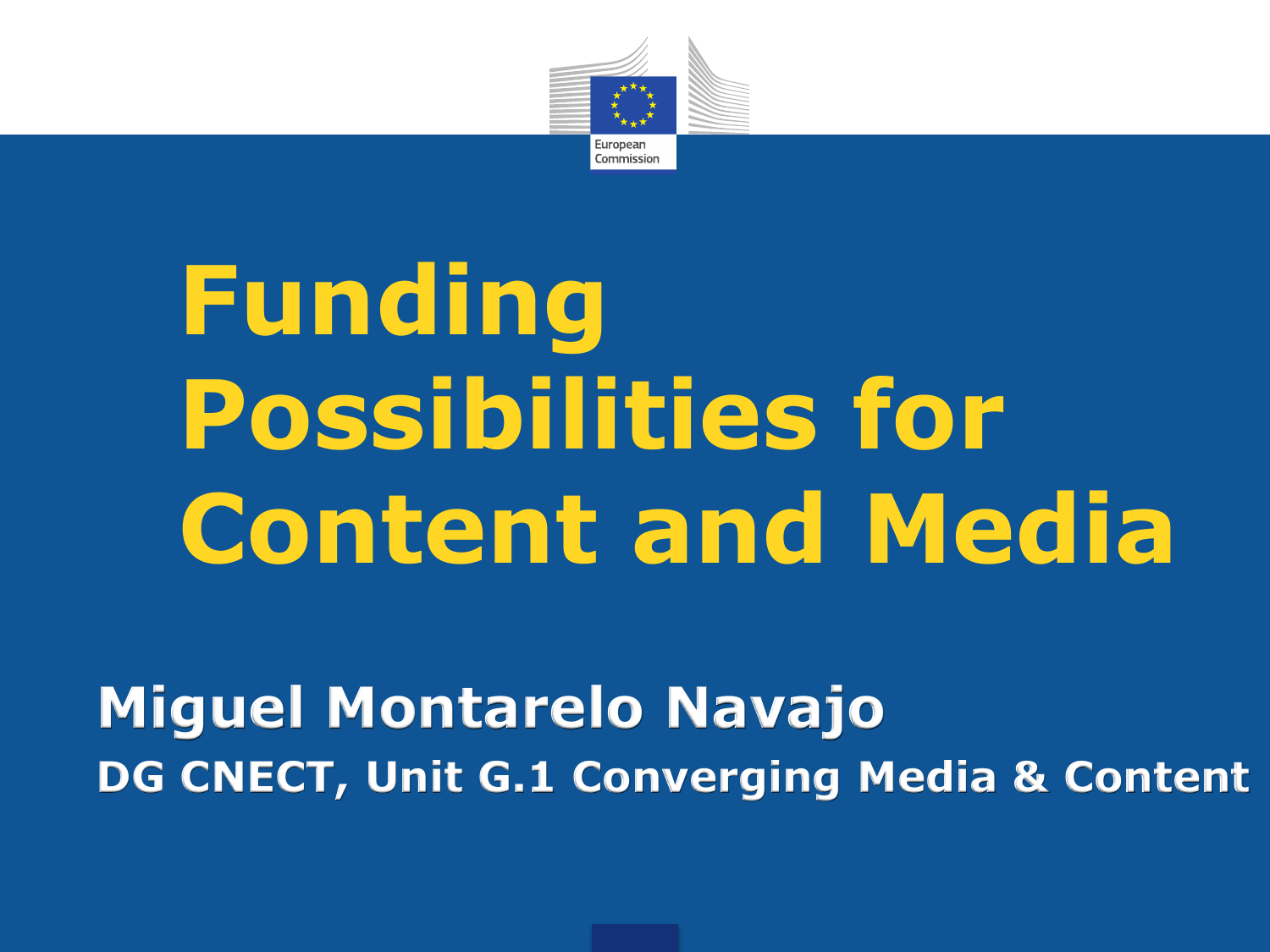

# **Funding Possibilities for Content and Media**

**Miguel Montarelo Navajo DG CNECT, Unit G.1 Converging Media & Content**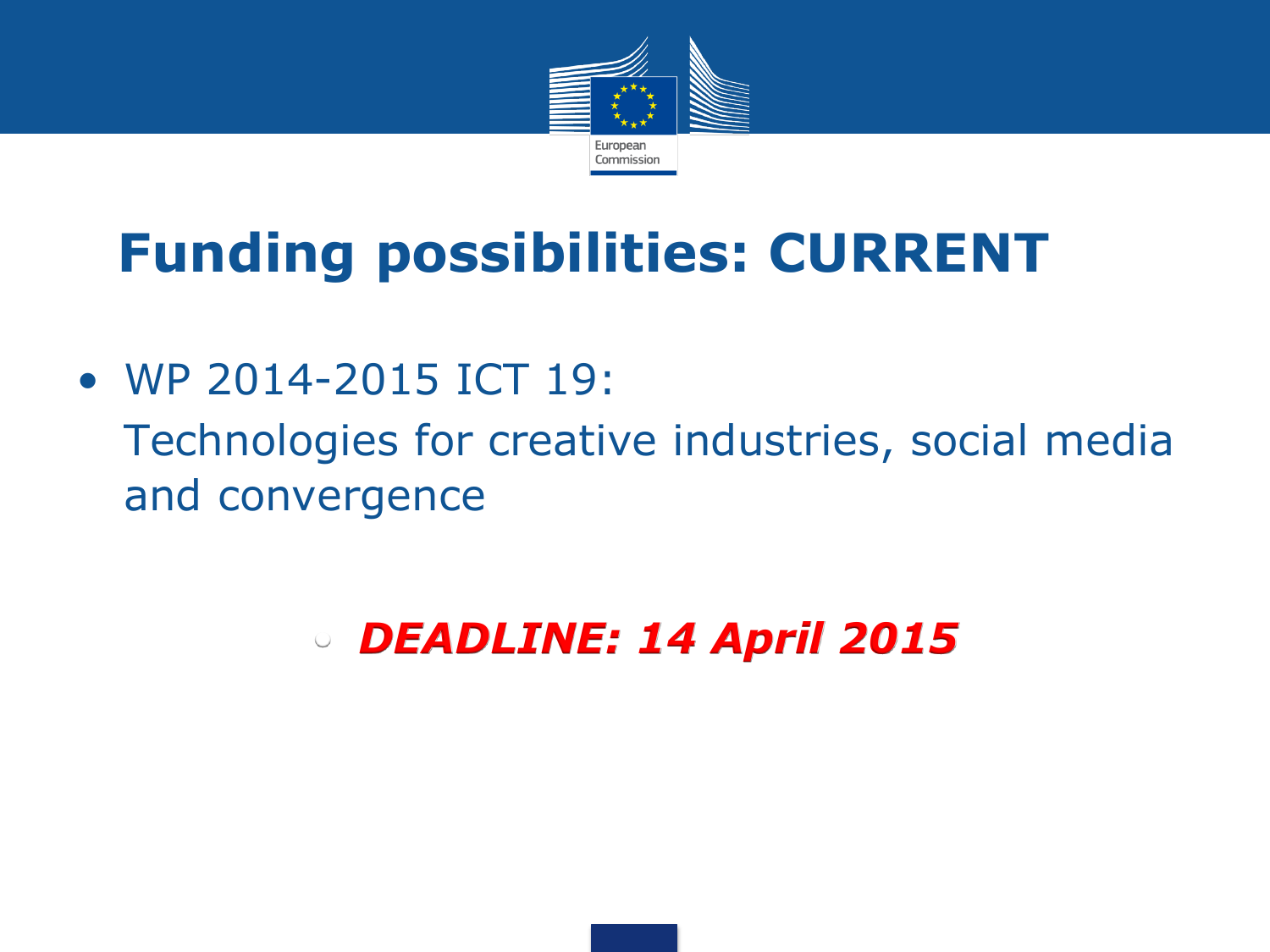

# **Funding possibilities: CURRENT**

• WP 2014-2015 ICT 19: • Technologies for creative industries, social media and convergence

• *DEADLINE: 14 April 2015*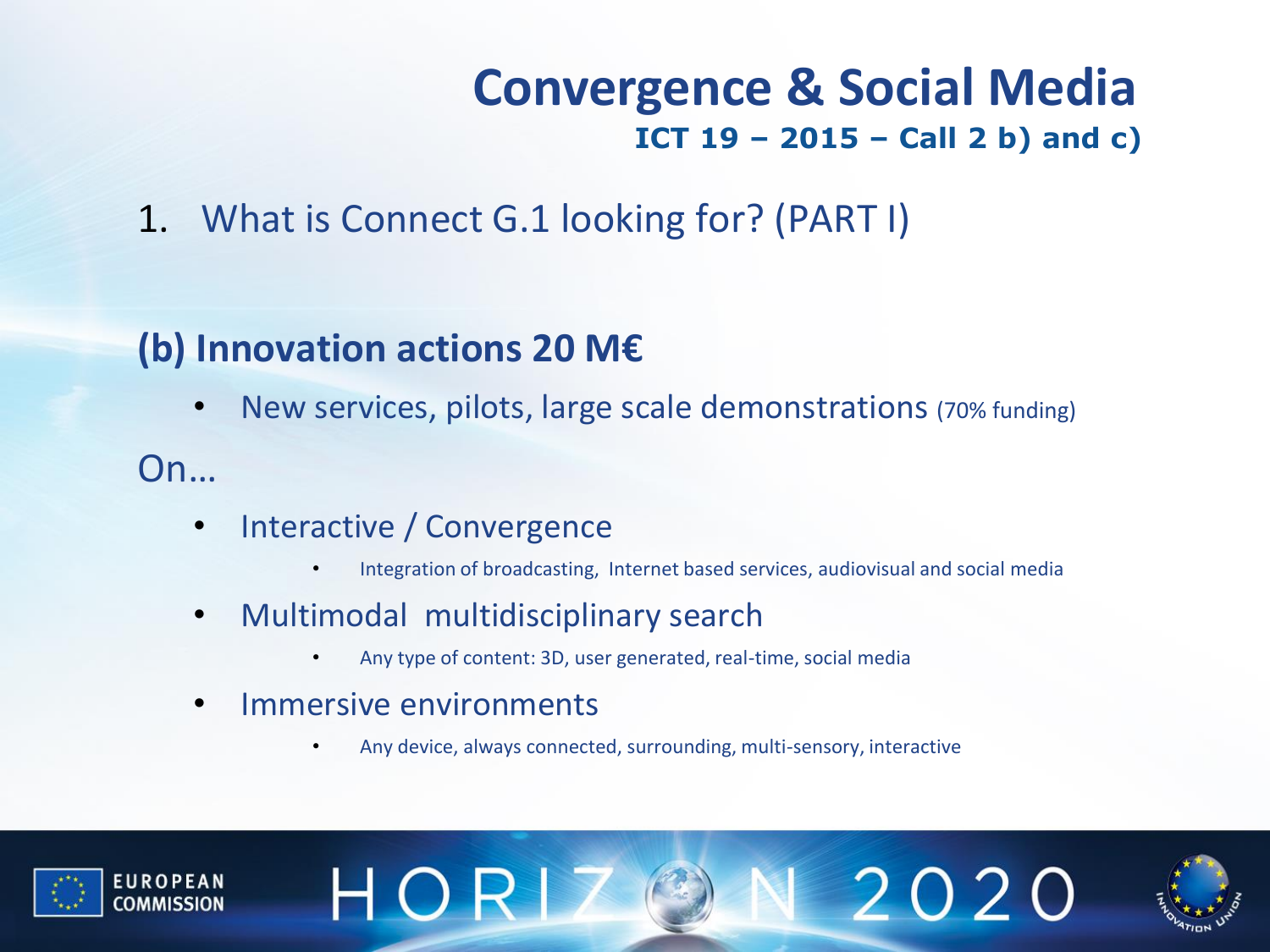#### **Convergence & Social Media ICT 19 – 2015 – Call 2 b) and c)**

1. What is Connect G.1 looking for? (PART I)

#### **(b) Innovation actions 20 M€**

• New services, pilots, large scale demonstrations (70% funding)

#### On…

- Interactive / Convergence
	- Integration of broadcasting, Internet based services, audiovisual and social media
- Multimodal multidisciplinary search
	- Any type of content: 3D, user generated, real-time, social media
- Immersive environments

HOR

• Any device, always connected, surrounding, multi-sensory, interactive





2020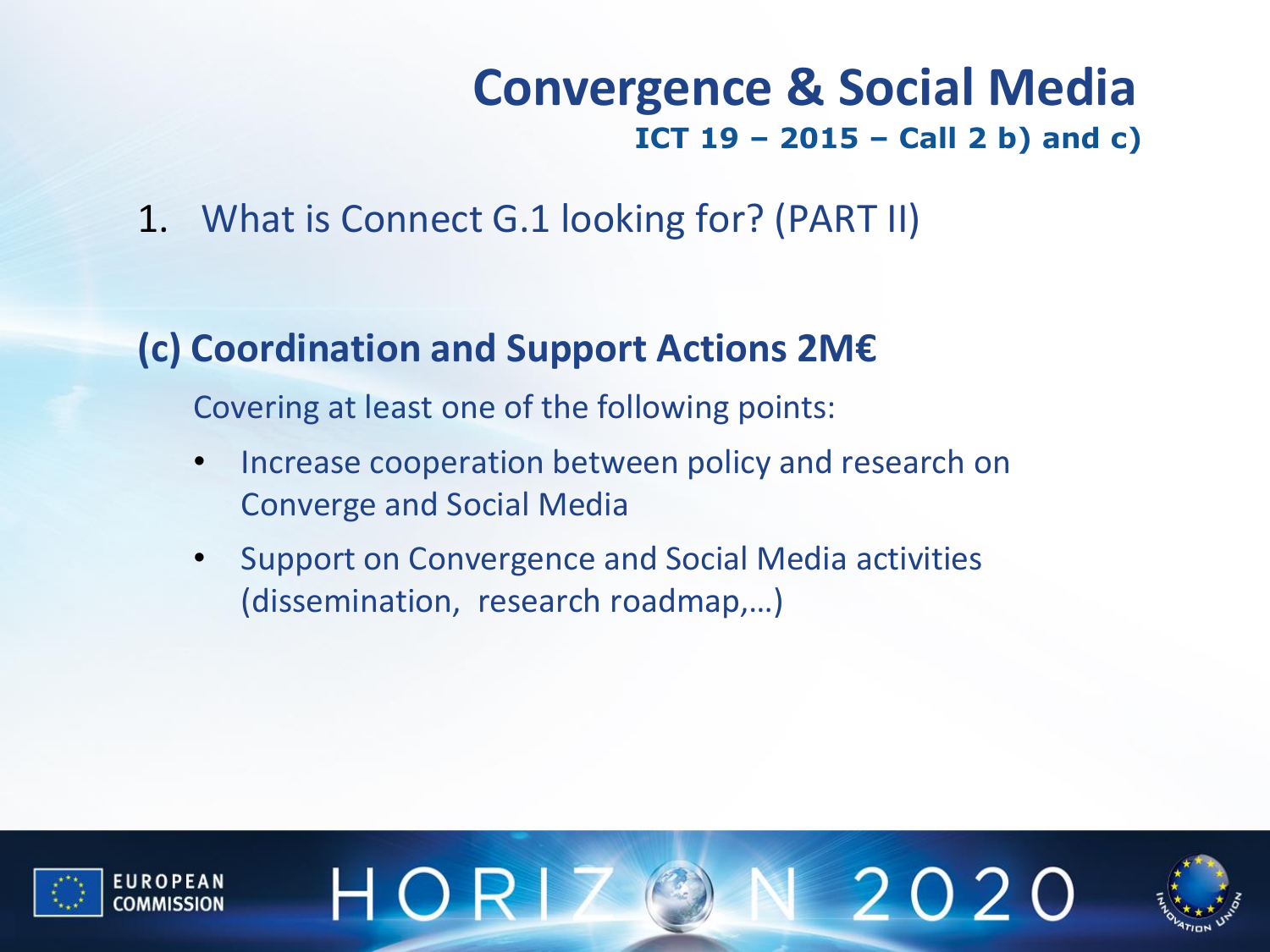#### **Convergence & Social Media ICT 19 – 2015 – Call 2 b) and c)**

2020

1. What is Connect G.1 looking for? (PART II)

#### **(c) Coordination and Support Actions 2M€**

Covering at least one of the following points:

HOR

- Increase cooperation between policy and research on Converge and Social Media
- Support on Convergence and Social Media activities (dissemination, research roadmap,…)

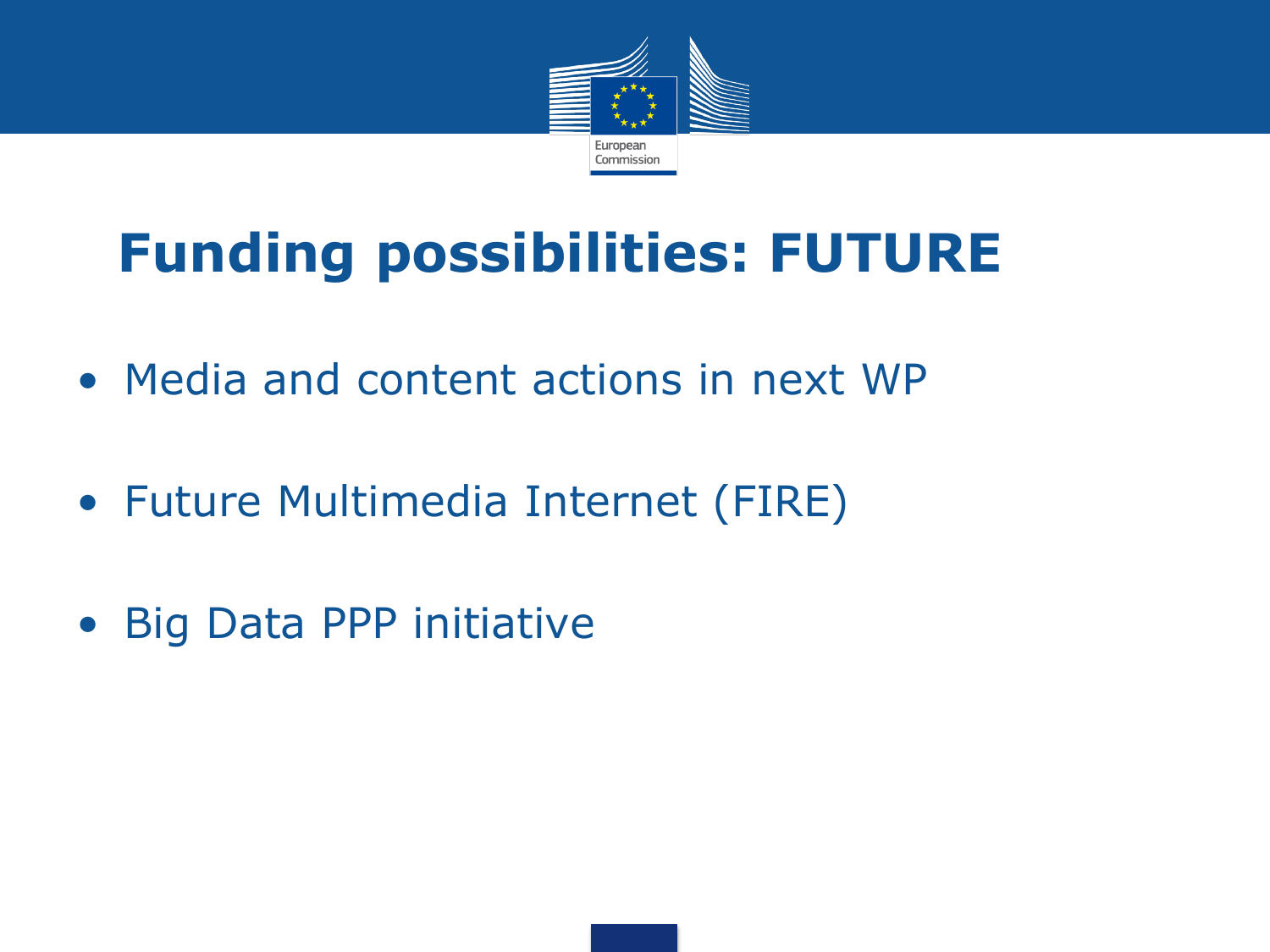

# **Funding possibilities: FUTURE**

- Media and content actions in next WP
- Future Multimedia Internet (FIRE)
- Big Data PPP initiative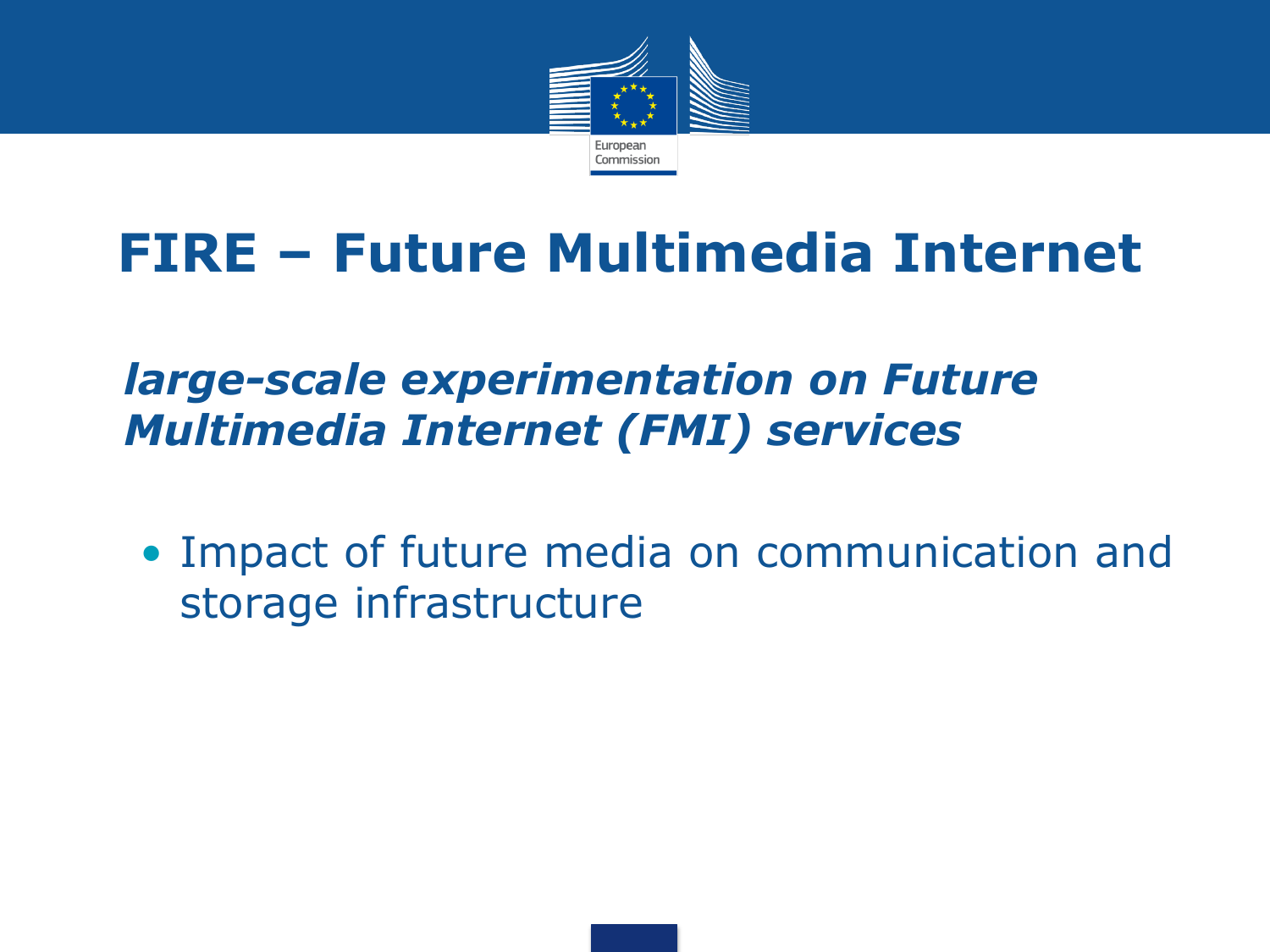

### **FIRE – Future Multimedia Internet**

#### • *large-scale experimentation on Future Multimedia Internet (FMI) services*

• Impact of future media on communication and storage infrastructure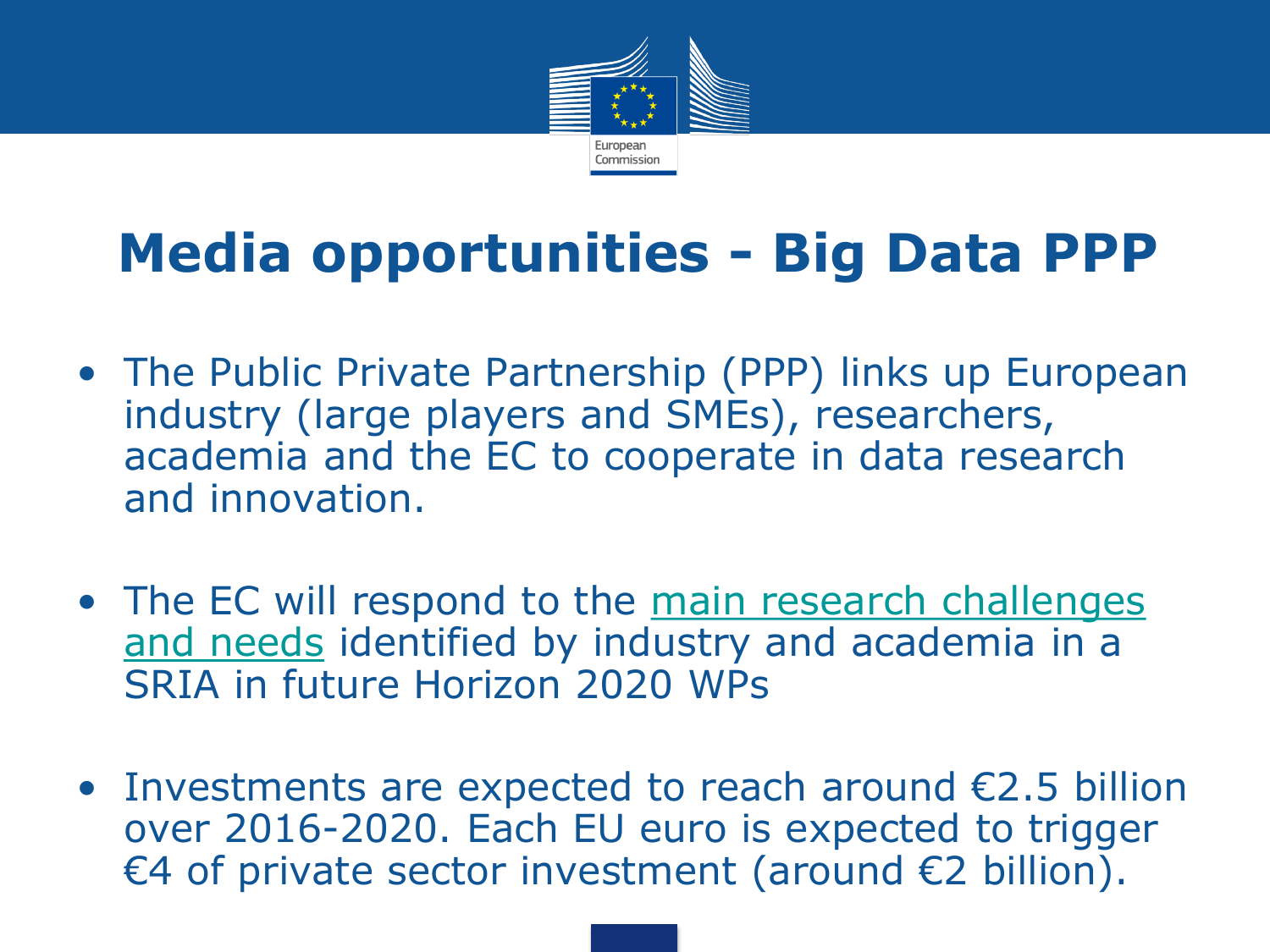

## **Media opportunities - Big Data PPP**

- The Public Private Partnership (PPP) links up European industry (large players and SMEs), researchers, academia and the EC to cooperate in data research and innovation.
- The EC will respond to the main research challenges [and needs](http://www.bigdatavalue.eu/index.php/downloads/finish/3-big-data-value/14-big-data-value-strategic-research-and-innovation-agenda/0) identified by industry and academia in a SRIA in future Horizon 2020 WPs
- Investments are expected to reach around  $E2.5$  billion over 2016-2020. Each EU euro is expected to trigger €4 of private sector investment (around €2 billion).